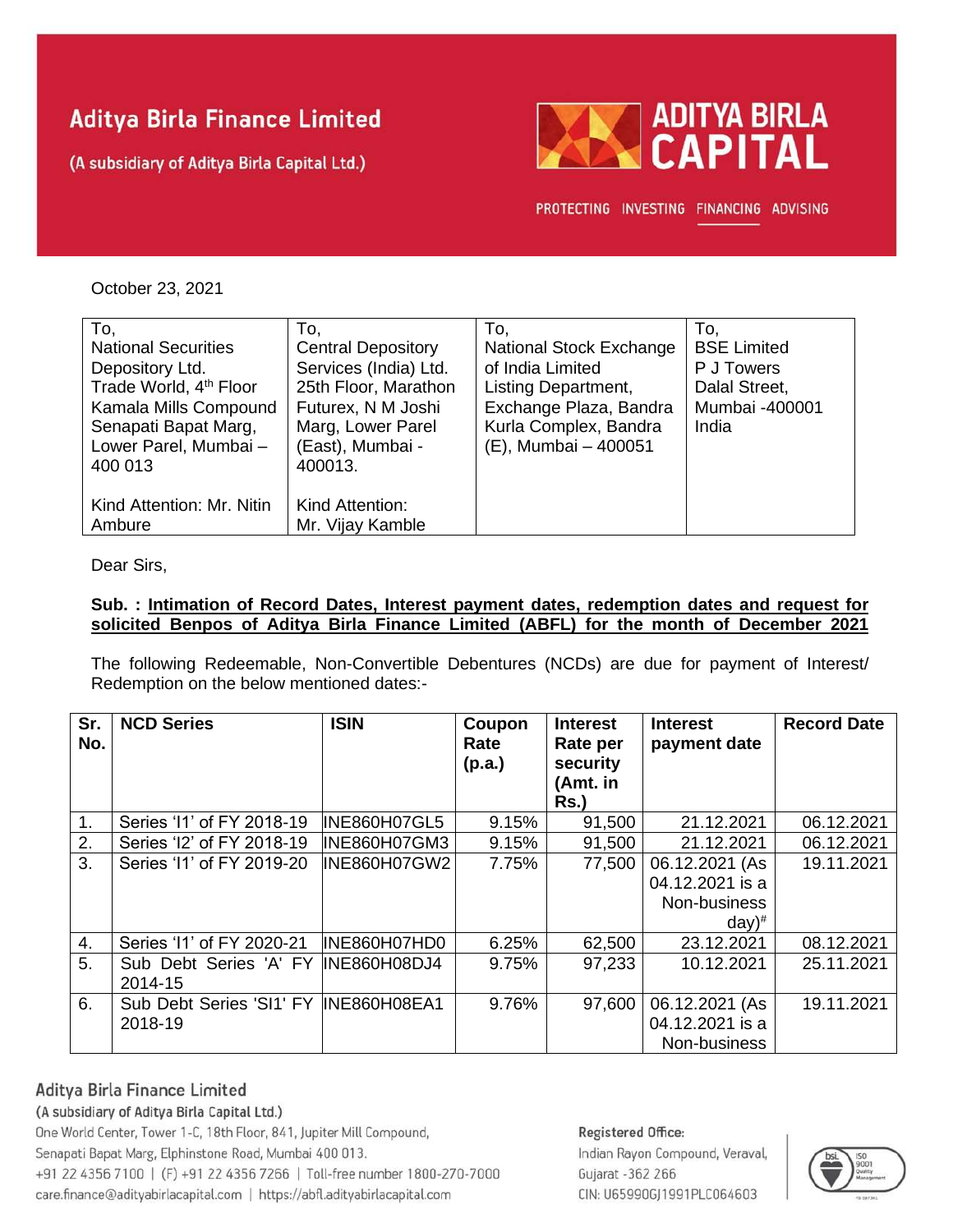# **Aditya Birla Finance Limited**

(A subsidiary of Aditya Birla Capital Ltd.)



PROTECTING INVESTING FINANCING ADVISING

October 23, 2021

| To,                                | To.                       | To.                            | To.                |
|------------------------------------|---------------------------|--------------------------------|--------------------|
| <b>National Securities</b>         | <b>Central Depository</b> | <b>National Stock Exchange</b> | <b>BSE Limited</b> |
| Depository Ltd.                    | Services (India) Ltd.     | of India Limited               | P J Towers         |
| Trade World, 4 <sup>th</sup> Floor | 25th Floor, Marathon      | Listing Department,            | Dalal Street,      |
| Kamala Mills Compound              | Futurex, N M Joshi        | Exchange Plaza, Bandra         | Mumbai -400001     |
| Senapati Bapat Marg,               | Marg, Lower Parel         | Kurla Complex, Bandra          | India              |
| Lower Parel, Mumbai-               | (East), Mumbai -          | (E), Mumbai - 400051           |                    |
| 400 013                            | 400013.                   |                                |                    |
|                                    |                           |                                |                    |
| Kind Attention: Mr. Nitin          | Kind Attention:           |                                |                    |
| Ambure                             | Mr. Vijay Kamble          |                                |                    |

Dear Sirs,

# **Sub. : Intimation of Record Dates, Interest payment dates, redemption dates and request for solicited Benpos of Aditya Birla Finance Limited (ABFL) for the month of December 2021**

The following Redeemable, Non-Convertible Debentures (NCDs) are due for payment of Interest/ Redemption on the below mentioned dates:-

| Sr.<br>No.       | <b>NCD Series</b>                                | <b>ISIN</b>         | Coupon<br>Rate<br>(p.a.) | <b>Interest</b><br>Rate per<br>security<br>(Amt. in<br><b>Rs.)</b> | <b>Interest</b><br>payment date                                          | <b>Record Date</b> |
|------------------|--------------------------------------------------|---------------------|--------------------------|--------------------------------------------------------------------|--------------------------------------------------------------------------|--------------------|
| 1.               | Series '11' of FY 2018-19                        | INE860H07GL5        | 9.15%                    | 91,500                                                             | 21.12.2021                                                               | 06.12.2021         |
| 2.               | Series 'I2' of FY 2018-19                        | <b>INE860H07GM3</b> | 9.15%                    | 91,500                                                             | 21.12.2021                                                               | 06.12.2021         |
| 3.               | Series '11' of FY 2019-20                        | <b>INE860H07GW2</b> | 7.75%                    | 77,500                                                             | 06.12.2021 (As<br>04.12.2021 is a<br>Non-business<br>$day)$ <sup>#</sup> | 19.11.2021         |
| $\overline{4}$ . | Series '11' of FY 2020-21                        | INE860H07HD0        | 6.25%                    | 62,500                                                             | 23.12.2021                                                               | 08.12.2021         |
| 5.               | Sub Debt Series 'A' FY<br>2014-15                | INE860H08DJ4        | 9.75%                    | 97,233                                                             | 10.12.2021                                                               | 25.11.2021         |
| 6.               | Sub Debt Series 'SI1' FY INE860H08EA1<br>2018-19 |                     | 9.76%                    | 97,600                                                             | 06.12.2021 (As<br>04.12.2021 is a<br>Non-business                        | 19.11.2021         |

# Aditya Birla Finance Limited

# (A subsidiary of Aditya Birla Capital Ltd.)

One World Center, Tower 1-C, 18th Floor, 841, Jupiter Mill Compound, Senapati Bapat Marg, Elphinstone Road, Mumbai 400 013. +91 22 4356 7100 | (F) +91 22 4356 7266 | Toll-free number 1800-270-7000 care.finance@adityabirlacapital.com | https://abfl.adityabirlacapital.com

#### Registered Office:

Indian Rayon Compound, Veraval, Gujarat - 362 266 CIN: U65990GJ1991PLC064603